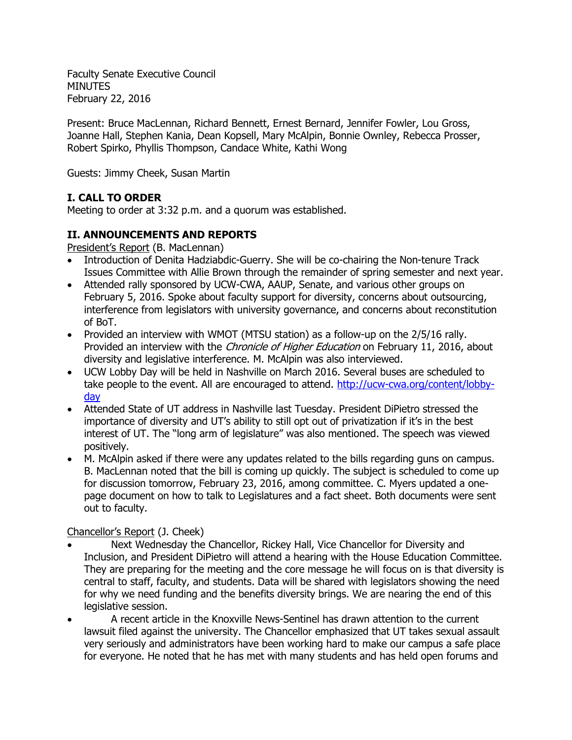Faculty Senate Executive Council MINUTES February 22, 2016

Present: Bruce MacLennan, Richard Bennett, Ernest Bernard, Jennifer Fowler, Lou Gross, Joanne Hall, Stephen Kania, Dean Kopsell, Mary McAlpin, Bonnie Ownley, Rebecca Prosser, Robert Spirko, Phyllis Thompson, Candace White, Kathi Wong

Guests: Jimmy Cheek, Susan Martin

### **I. CALL TO ORDER**

Meeting to order at 3:32 p.m. and a quorum was established.

### **II. ANNOUNCEMENTS AND REPORTS**

President's Report (B. MacLennan)

- Introduction of Denita Hadziabdic-Guerry. She will be co-chairing the Non-tenure Track Issues Committee with Allie Brown through the remainder of spring semester and next year.
- Attended rally sponsored by UCW-CWA, AAUP, Senate, and various other groups on February 5, 2016. Spoke about faculty support for diversity, concerns about outsourcing, interference from legislators with university governance, and concerns about reconstitution of BoT.
- Provided an interview with WMOT (MTSU station) as a follow-up on the 2/5/16 rally. Provided an interview with the *Chronicle of Higher Education* on February 11, 2016, about diversity and legislative interference. M. McAlpin was also interviewed.
- UCW Lobby Day will be held in Nashville on March 2016. Several buses are scheduled to take people to the event. All are encouraged to attend. [http://ucw-cwa.org/content/lobby](http://ucw-cwa.org/content/lobby-day)[day](http://ucw-cwa.org/content/lobby-day)
- Attended State of UT address in Nashville last Tuesday. President DiPietro stressed the importance of diversity and UT's ability to still opt out of privatization if it's in the best interest of UT. The "long arm of legislature" was also mentioned. The speech was viewed positively.
- M. McAlpin asked if there were any updates related to the bills regarding guns on campus. B. MacLennan noted that the bill is coming up quickly. The subject is scheduled to come up for discussion tomorrow, February 23, 2016, among committee. C. Myers updated a onepage document on how to talk to Legislatures and a fact sheet. Both documents were sent out to faculty.

### Chancellor's Report (J. Cheek)

- Next Wednesday the Chancellor, Rickey Hall, Vice Chancellor for Diversity and Inclusion, and President DiPietro will attend a hearing with the House Education Committee. They are preparing for the meeting and the core message he will focus on is that diversity is central to staff, faculty, and students. Data will be shared with legislators showing the need for why we need funding and the benefits diversity brings. We are nearing the end of this legislative session.
- A recent article in the Knoxville News-Sentinel has drawn attention to the current lawsuit filed against the university. The Chancellor emphasized that UT takes sexual assault very seriously and administrators have been working hard to make our campus a safe place for everyone. He noted that he has met with many students and has held open forums and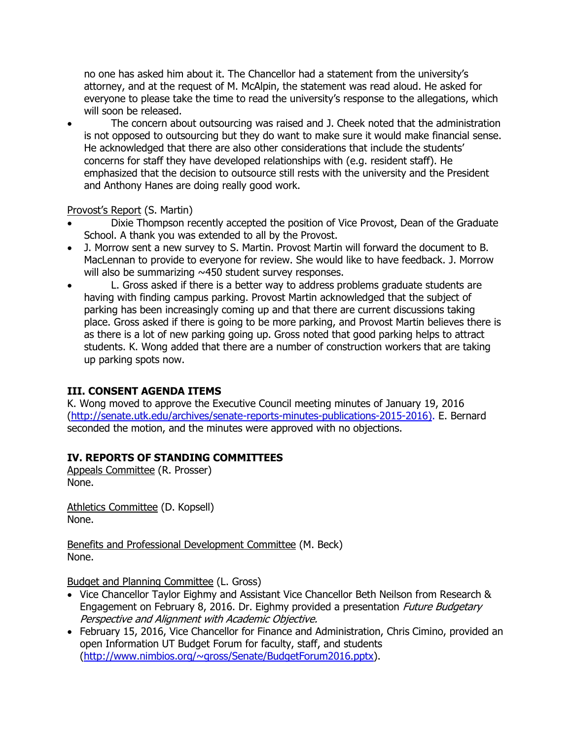no one has asked him about it. The Chancellor had a statement from the university's attorney, and at the request of M. McAlpin, the statement was read aloud. He asked for everyone to please take the time to read the university's response to the allegations, which will soon be released.

• The concern about outsourcing was raised and J. Cheek noted that the administration is not opposed to outsourcing but they do want to make sure it would make financial sense. He acknowledged that there are also other considerations that include the students' concerns for staff they have developed relationships with (e.g. resident staff). He emphasized that the decision to outsource still rests with the university and the President and Anthony Hanes are doing really good work.

#### Provost's Report (S. Martin)

- Dixie Thompson recently accepted the position of Vice Provost, Dean of the Graduate School. A thank you was extended to all by the Provost.
- J. Morrow sent a new survey to S. Martin. Provost Martin will forward the document to B. MacLennan to provide to everyone for review. She would like to have feedback. J. Morrow will also be summarizing ~450 student survey responses.
- L. Gross asked if there is a better way to address problems graduate students are having with finding campus parking. Provost Martin acknowledged that the subject of parking has been increasingly coming up and that there are current discussions taking place. Gross asked if there is going to be more parking, and Provost Martin believes there is as there is a lot of new parking going up. Gross noted that good parking helps to attract students. K. Wong added that there are a number of construction workers that are taking up parking spots now.

### **III. CONSENT AGENDA ITEMS**

K. Wong moved to approve the Executive Council meeting minutes of January 19, 2016 [\(http://senate.utk.edu/archives/senate-reports-minutes-publications-2015-2016\)](http://senate.utk.edu/archives/senate-reports-minutes-publications-2015-2016). E. Bernard seconded the motion, and the minutes were approved with no objections.

### **IV. REPORTS OF STANDING COMMITTEES**

Appeals Committee (R. Prosser) None.

Athletics Committee (D. Kopsell) None.

Benefits and Professional Development Committee (M. Beck) None.

Budget and Planning Committee (L. Gross)

- Vice Chancellor Taylor Eighmy and Assistant Vice Chancellor Beth Neilson from Research & Engagement on February 8, 2016. Dr. Eighmy provided a presentation *Future Budgetary* Perspective and Alignment with Academic Objective.
- February 15, 2016, Vice Chancellor for Finance and Administration, Chris Cimino, provided an open Information UT Budget Forum for faculty, staff, and students [\(http://www.nimbios.org/~gross/Senate/BudgetForum2016.pptx\)](http://www.nimbios.org/~gross/Senate/BudgetForum2016.pptx).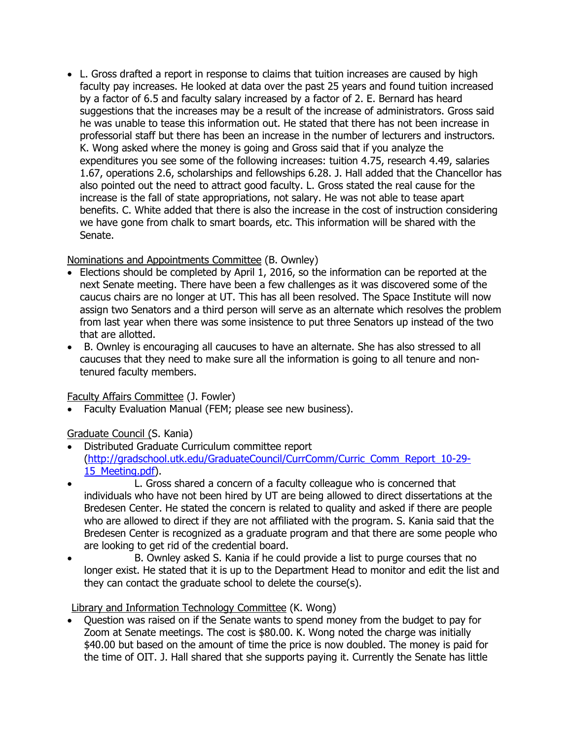L. Gross drafted a report in response to claims that tuition increases are caused by high faculty pay increases. He looked at data over the past 25 years and found tuition increased by a factor of 6.5 and faculty salary increased by a factor of 2. E. Bernard has heard suggestions that the increases may be a result of the increase of administrators. Gross said he was unable to tease this information out. He stated that there has not been increase in professorial staff but there has been an increase in the number of lecturers and instructors. K. Wong asked where the money is going and Gross said that if you analyze the expenditures you see some of the following increases: tuition 4.75, research 4.49, salaries 1.67, operations 2.6, scholarships and fellowships 6.28. J. Hall added that the Chancellor has also pointed out the need to attract good faculty. L. Gross stated the real cause for the increase is the fall of state appropriations, not salary. He was not able to tease apart benefits. C. White added that there is also the increase in the cost of instruction considering we have gone from chalk to smart boards, etc. This information will be shared with the Senate.

### Nominations and Appointments Committee (B. Ownley)

- Elections should be completed by April 1, 2016, so the information can be reported at the next Senate meeting. There have been a few challenges as it was discovered some of the caucus chairs are no longer at UT. This has all been resolved. The Space Institute will now assign two Senators and a third person will serve as an alternate which resolves the problem from last year when there was some insistence to put three Senators up instead of the two that are allotted.
- B. Ownley is encouraging all caucuses to have an alternate. She has also stressed to all caucuses that they need to make sure all the information is going to all tenure and nontenured faculty members.

# Faculty Affairs Committee (J. Fowler)

• Faculty Evaluation Manual (FEM; please see new business).

# Graduate Council (S. Kania)

- Distributed Graduate Curriculum committee report [\(http://gradschool.utk.edu/GraduateCouncil/CurrComm/Curric\\_Comm\\_Report\\_10-29-](http://gradschool.utk.edu/GraduateCouncil/CurrComm/Curric_Comm_Report_10-29-15_Meeting.pdf) [15\\_Meeting.pdf\)](http://gradschool.utk.edu/GraduateCouncil/CurrComm/Curric_Comm_Report_10-29-15_Meeting.pdf).
- L. Gross shared a concern of a faculty colleague who is concerned that individuals who have not been hired by UT are being allowed to direct dissertations at the Bredesen Center. He stated the concern is related to quality and asked if there are people who are allowed to direct if they are not affiliated with the program. S. Kania said that the Bredesen Center is recognized as a graduate program and that there are some people who are looking to get rid of the credential board.
- B. Ownley asked S. Kania if he could provide a list to purge courses that no longer exist. He stated that it is up to the Department Head to monitor and edit the list and they can contact the graduate school to delete the course(s).

# Library and Information Technology Committee (K. Wong)

 Question was raised on if the Senate wants to spend money from the budget to pay for Zoom at Senate meetings. The cost is \$80.00. K. Wong noted the charge was initially \$40.00 but based on the amount of time the price is now doubled. The money is paid for the time of OIT. J. Hall shared that she supports paying it. Currently the Senate has little